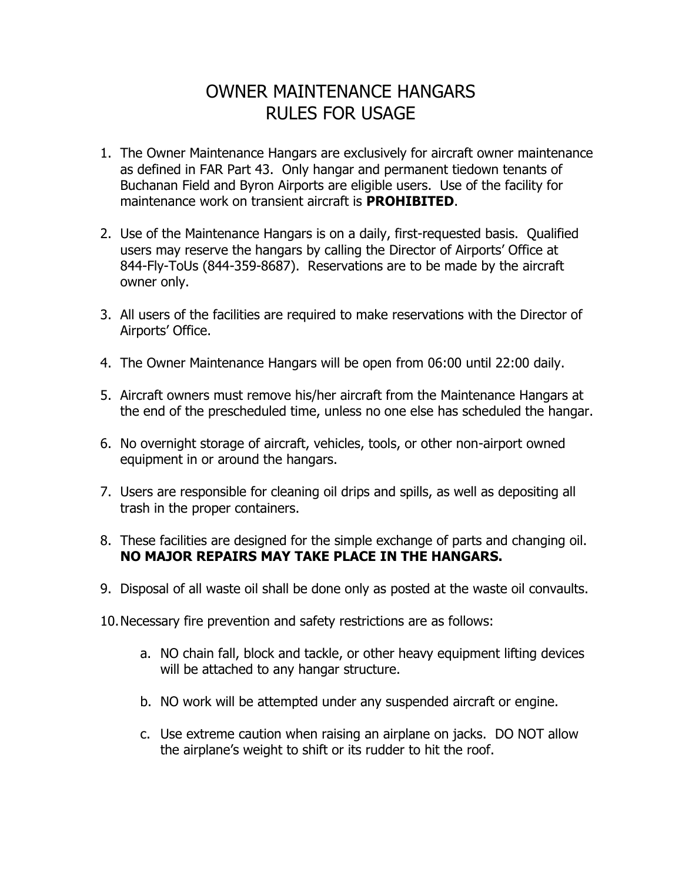## OWNER MAINTENANCE HANGARS RULES FOR USAGE

- 1. The Owner Maintenance Hangars are exclusively for aircraft owner maintenance as defined in FAR Part 43. Only hangar and permanent tiedown tenants of Buchanan Field and Byron Airports are eligible users. Use of the facility for maintenance work on transient aircraft is **PROHIBITED**.
- 2. Use of the Maintenance Hangars is on a daily, first-requested basis. Qualified users may reserve the hangars by calling the Director of Airports' Office at 844-Fly-ToUs (844-359-8687). Reservations are to be made by the aircraft owner only.
- 3. All users of the facilities are required to make reservations with the Director of Airports' Office.
- 4. The Owner Maintenance Hangars will be open from 06:00 until 22:00 daily.
- 5. Aircraft owners must remove his/her aircraft from the Maintenance Hangars at the end of the prescheduled time, unless no one else has scheduled the hangar.
- 6. No overnight storage of aircraft, vehicles, tools, or other non-airport owned equipment in or around the hangars.
- 7. Users are responsible for cleaning oil drips and spills, as well as depositing all trash in the proper containers.
- 8. These facilities are designed for the simple exchange of parts and changing oil. **NO MAJOR REPAIRS MAY TAKE PLACE IN THE HANGARS.**
- 9. Disposal of all waste oil shall be done only as posted at the waste oil convaults.
- 10.Necessary fire prevention and safety restrictions are as follows:
	- a. NO chain fall, block and tackle, or other heavy equipment lifting devices will be attached to any hangar structure.
	- b. NO work will be attempted under any suspended aircraft or engine.
	- c. Use extreme caution when raising an airplane on jacks. DO NOT allow the airplane's weight to shift or its rudder to hit the roof.